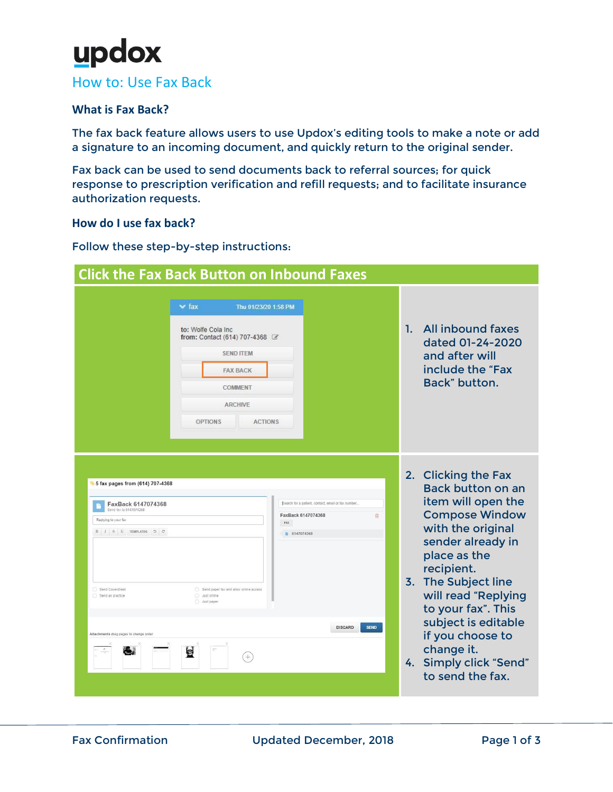# updox

### How to: Use Fax Back

#### **What is Fax Back?**

The fax back feature allows users to use Updox's editing tools to make a note or add a signature to an incoming document, and quickly return to the original sender.

Fax back can be used to send documents back to referral sources; for quick response to prescription verification and refill requests; and to facilitate insurance authorization requests.

#### **How do I use fax back?**

#### Follow these step-by-step instructions:

| <b>Click the Fax Back Button on Inbound Faxes</b>                                                                                                                                                                                                               |                                                                                                                                                                      |                                                                                                                                                                                                                                                                                                                                                                       |  |  |  |
|-----------------------------------------------------------------------------------------------------------------------------------------------------------------------------------------------------------------------------------------------------------------|----------------------------------------------------------------------------------------------------------------------------------------------------------------------|-----------------------------------------------------------------------------------------------------------------------------------------------------------------------------------------------------------------------------------------------------------------------------------------------------------------------------------------------------------------------|--|--|--|
| $\vee$ fax<br>to: Wolfe Cola Inc.<br><b>OPTIONS</b>                                                                                                                                                                                                             | Thu 01/23/20 1:58 PM<br>from: Contact (614) 707-4368<br><b>SEND ITEM</b><br><b>FAX BACK</b><br><b>COMMENT</b><br><b>ARCHIVE</b><br><b>ACTIONS</b>                    | All inbound faxes<br>1.<br>dated 01-24-2020<br>and after will<br>include the "Fax<br>Back" button.                                                                                                                                                                                                                                                                    |  |  |  |
| 5 fax pages from (614) 707-4368<br>FaxBack 6147074368<br>Send fax to 6147074368<br>Replying to your fax<br>$B$ $I$ $S$ $U$ TEMPLATES $D$ $C$<br>Send Coversheet<br>Send as practice<br>Just online<br>Just paper<br>Attachments drag pages to change order<br>e | Search for a patient, contact, email or fax number.<br>FaxBack 6147074368<br>FAX<br>6147074368<br>Send paper fax and allow online access<br><b>DISCARD</b><br>$^{+}$ | 2. Clicking the Fax<br><b>Back button on an</b><br>item will open the<br><b>Compose Window</b><br>侖<br>with the original<br>sender already in<br>place as the<br>recipient.<br>3. The Subject line<br>will read "Replying<br>to your fax". This<br>subject is editable<br><b>SEND</b><br>if you choose to<br>change it.<br>4. Simply click "Send"<br>to send the fax. |  |  |  |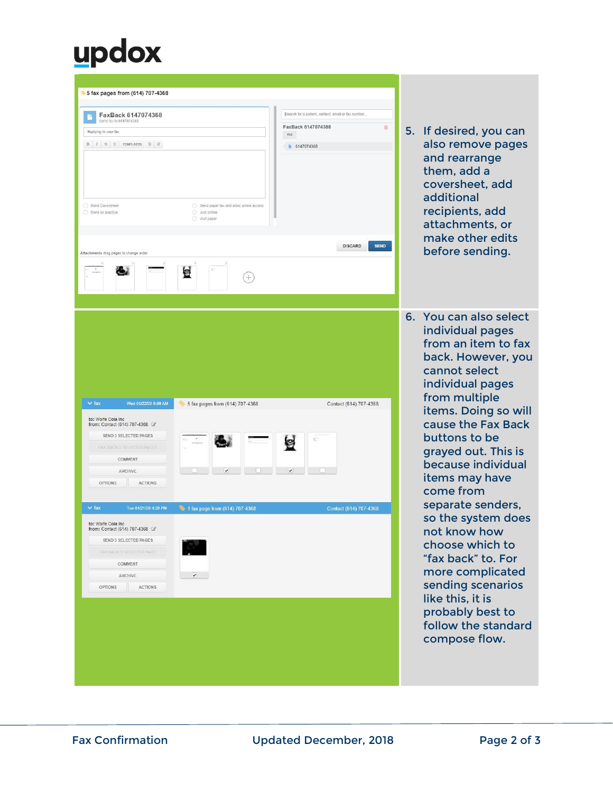### updox